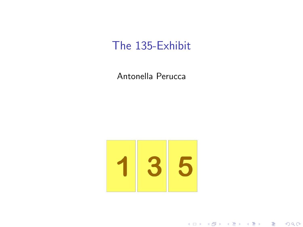## The 135-Exhibit

Antonella Perucca



★ ロ ▶ → 御 ▶ → 결 ▶ → 결 ▶ │ 결

 $299$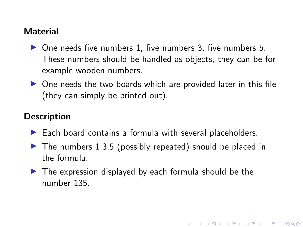## Material

- $\triangleright$  One needs five numbers 1, five numbers 3, five numbers 5. These numbers should be handled as objects, they can be for example wooden numbers.
- $\triangleright$  One needs the two boards which are provided later in this file (they can simply be printed out).

## **Description**

- $\blacktriangleright$  Each board contains a formula with several placeholders.
- $\blacktriangleright$  The numbers 1,3,5 (possibly repeated) should be placed in the formula.

K ロ ▶ K 레 ▶ | K 회 ▶ | K 환 ▶ │ 환 │ ⊙ Q Q ⊙

 $\blacktriangleright$  The expression displayed by each formula should be the number 135.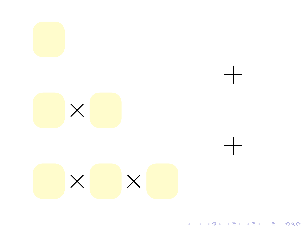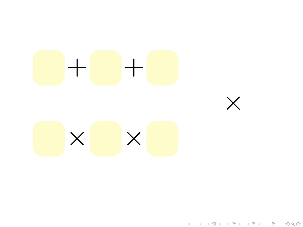

K □ ▶ K @ ▶ K 할 > K 할 > → 할 → 9 Q @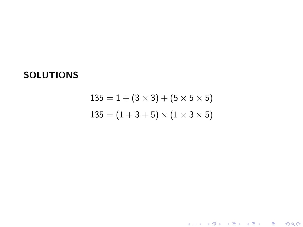## **SOLUTIONS**

$$
135 = 1 + (3 \times 3) + (5 \times 5 \times 5)
$$
  

$$
135 = (1 + 3 + 5) \times (1 \times 3 \times 5)
$$

メロメ メタメ メミメ メミメ

一番

 $2990$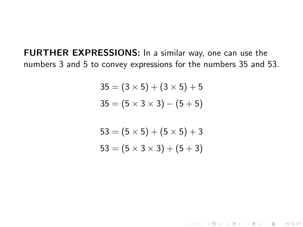FURTHER EXPRESSIONS: In a similar way, one can use the numbers 3 and 5 to convey expressions for the numbers 35 and 53.

$$
35 = (3 \times 5) + (3 \times 5) + 5
$$
  

$$
35 = (5 \times 3 \times 3) - (5 + 5)
$$

$$
53 = (5 \times 5) + (5 \times 5) + 3
$$
  

$$
53 = (5 \times 3 \times 3) + (5 + 3)
$$

(ロ) (御) (君) (君) (君) 君 のぬの